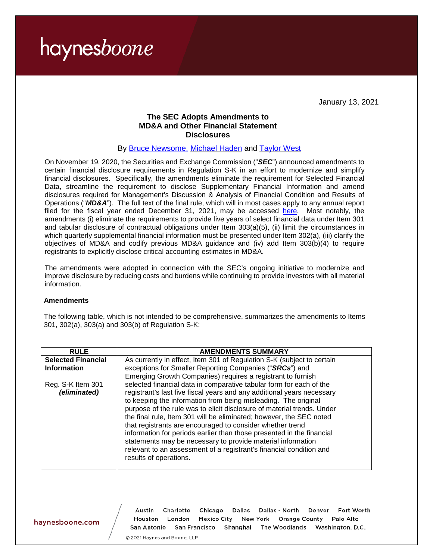January 13, 2021

### **The SEC Adopts Amendments to MD&A and Other Financial Statement Disclosures**

#### By [Bruce Newsome,](https://www.haynesboone.com/people/n/newsome-bruce) [Michael Haden](https://www.haynesboone.com/people/h/haden-michael) and [Taylor West](https://www.haynesboone.com/people/w/west-taylor)

On November 19, 2020, the Securities and Exchange Commission ("*SEC*") announced amendments to certain financial disclosure requirements in Regulation S-K in an effort to modernize and simplify financial disclosures. Specifically, the amendments eliminate the requirement for Selected Financial Data, streamline the requirement to disclose Supplementary Financial Information and amend disclosures required for Management's Discussion & Analysis of Financial Condition and Results of Operations ("*MD&A*"). The full text of the final rule, which will in most cases apply to any annual report filed for the fiscal year ended December 31, 2021, may be accessed [here.](https://www.sec.gov/rules/final/2020/33-10890.pdf) Most notably, the amendments (i) eliminate the requirements to provide five years of select financial data under Item 301 and tabular disclosure of contractual obligations under Item 303(a)(5), (ii) limit the circumstances in which quarterly supplemental financial information must be presented under Item 302(a), (iii) clarify the objectives of MD&A and codify previous MD&A guidance and (iv) add Item 303(b)(4) to require registrants to explicitly disclose critical accounting estimates in MD&A.

The amendments were adopted in connection with the SEC's ongoing initiative to modernize and improve disclosure by reducing costs and burdens while continuing to provide investors with all material information.

#### **Amendments**

The following table, which is not intended to be comprehensive, summarizes the amendments to Items 301, 302(a), 303(a) and 303(b) of Regulation S-K:

| <b>RULE</b>                       | <b>AMENDMENTS SUMMARY</b>                                                                                                                                                                                                                                                                                                                                                                                                                                                                                                                                                                                                                                              |
|-----------------------------------|------------------------------------------------------------------------------------------------------------------------------------------------------------------------------------------------------------------------------------------------------------------------------------------------------------------------------------------------------------------------------------------------------------------------------------------------------------------------------------------------------------------------------------------------------------------------------------------------------------------------------------------------------------------------|
| <b>Selected Financial</b>         | As currently in effect, Item 301 of Regulation S-K (subject to certain                                                                                                                                                                                                                                                                                                                                                                                                                                                                                                                                                                                                 |
| <b>Information</b>                | exceptions for Smaller Reporting Companies ("SRCs") and                                                                                                                                                                                                                                                                                                                                                                                                                                                                                                                                                                                                                |
|                                   | Emerging Growth Companies) requires a registrant to furnish                                                                                                                                                                                                                                                                                                                                                                                                                                                                                                                                                                                                            |
| Reg. S-K Item 301<br>(eliminated) | selected financial data in comparative tabular form for each of the<br>registrant's last five fiscal years and any additional years necessary<br>to keeping the information from being misleading. The original<br>purpose of the rule was to elicit disclosure of material trends. Under<br>the final rule, Item 301 will be eliminated; however, the SEC noted<br>that registrants are encouraged to consider whether trend<br>information for periods earlier than those presented in the financial<br>statements may be necessary to provide material information<br>relevant to an assessment of a registrant's financial condition and<br>results of operations. |

haynesboone.com

Chicago Fort Worth Charlotte Dallas Dallas - North Denver Austin **Mexico City** Houston London New York Orange County Palo Alto San Francisco Shanghai The Woodlands Washington, D.C. San Antonio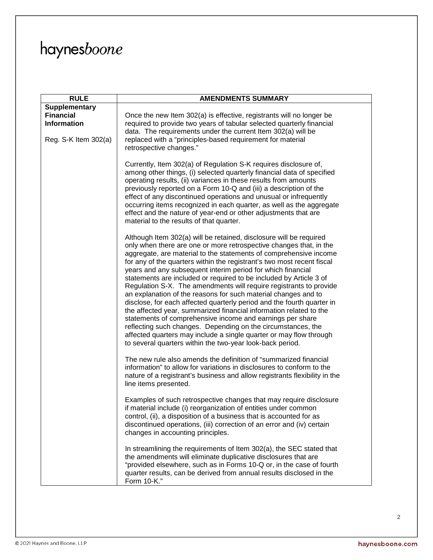| <b>RULE</b>          | <b>AMENDMENTS SUMMARY</b>                                                                                                                                                                                                                                                                                                                                                                                                                                                                                                                                                                                                                                                                                                                                                                                                                                                                                                                                                                                                                                |
|----------------------|----------------------------------------------------------------------------------------------------------------------------------------------------------------------------------------------------------------------------------------------------------------------------------------------------------------------------------------------------------------------------------------------------------------------------------------------------------------------------------------------------------------------------------------------------------------------------------------------------------------------------------------------------------------------------------------------------------------------------------------------------------------------------------------------------------------------------------------------------------------------------------------------------------------------------------------------------------------------------------------------------------------------------------------------------------|
| <b>Supplementary</b> |                                                                                                                                                                                                                                                                                                                                                                                                                                                                                                                                                                                                                                                                                                                                                                                                                                                                                                                                                                                                                                                          |
| <b>Financial</b>     | Once the new Item 302(a) is effective, registrants will no longer be                                                                                                                                                                                                                                                                                                                                                                                                                                                                                                                                                                                                                                                                                                                                                                                                                                                                                                                                                                                     |
| <b>Information</b>   | required to provide two years of tabular selected quarterly financial                                                                                                                                                                                                                                                                                                                                                                                                                                                                                                                                                                                                                                                                                                                                                                                                                                                                                                                                                                                    |
|                      | data. The requirements under the current Item 302(a) will be                                                                                                                                                                                                                                                                                                                                                                                                                                                                                                                                                                                                                                                                                                                                                                                                                                                                                                                                                                                             |
| Reg. S-K Item 302(a) | replaced with a "principles-based requirement for material                                                                                                                                                                                                                                                                                                                                                                                                                                                                                                                                                                                                                                                                                                                                                                                                                                                                                                                                                                                               |
|                      | retrospective changes."                                                                                                                                                                                                                                                                                                                                                                                                                                                                                                                                                                                                                                                                                                                                                                                                                                                                                                                                                                                                                                  |
|                      |                                                                                                                                                                                                                                                                                                                                                                                                                                                                                                                                                                                                                                                                                                                                                                                                                                                                                                                                                                                                                                                          |
|                      | Currently, Item 302(a) of Regulation S-K requires disclosure of,<br>among other things, (i) selected quarterly financial data of specified<br>operating results, (ii) variances in these results from amounts<br>previously reported on a Form 10-Q and (iii) a description of the<br>effect of any discontinued operations and unusual or infrequently<br>occurring items recognized in each quarter, as well as the aggregate<br>effect and the nature of year-end or other adjustments that are<br>material to the results of that quarter.                                                                                                                                                                                                                                                                                                                                                                                                                                                                                                           |
|                      |                                                                                                                                                                                                                                                                                                                                                                                                                                                                                                                                                                                                                                                                                                                                                                                                                                                                                                                                                                                                                                                          |
|                      | Although Item 302(a) will be retained, disclosure will be required<br>only when there are one or more retrospective changes that, in the<br>aggregate, are material to the statements of comprehensive income<br>for any of the quarters within the registrant's two most recent fiscal<br>years and any subsequent interim period for which financial<br>statements are included or required to be included by Article 3 of<br>Regulation S-X. The amendments will require registrants to provide<br>an explanation of the reasons for such material changes and to<br>disclose, for each affected quarterly period and the fourth quarter in<br>the affected year, summarized financial information related to the<br>statements of comprehensive income and earnings per share<br>reflecting such changes. Depending on the circumstances, the<br>affected quarters may include a single quarter or may flow through<br>to several quarters within the two-year look-back period.<br>The new rule also amends the definition of "summarized financial |
|                      | information" to allow for variations in disclosures to conform to the<br>nature of a registrant's business and allow registrants flexibility in the<br>line items presented.                                                                                                                                                                                                                                                                                                                                                                                                                                                                                                                                                                                                                                                                                                                                                                                                                                                                             |
|                      | Examples of such retrospective changes that may require disclosure<br>if material include (i) reorganization of entities under common<br>control, (ii), a disposition of a business that is accounted for as<br>discontinued operations, (iii) correction of an error and (iv) certain<br>changes in accounting principles.                                                                                                                                                                                                                                                                                                                                                                                                                                                                                                                                                                                                                                                                                                                              |
|                      | In streamlining the requirements of Item 302(a), the SEC stated that<br>the amendments will eliminate duplicative disclosures that are<br>"provided elsewhere, such as in Forms 10-Q or, in the case of fourth<br>quarter results, can be derived from annual results disclosed in the<br>Form 10-K."                                                                                                                                                                                                                                                                                                                                                                                                                                                                                                                                                                                                                                                                                                                                                    |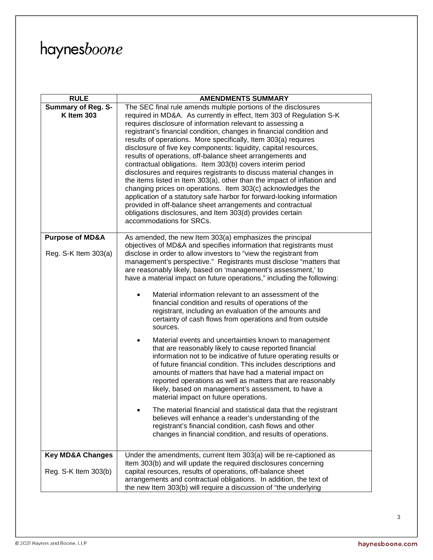| <b>RULE</b>                 | <b>AMENDMENTS SUMMARY</b>                                                                                                           |
|-----------------------------|-------------------------------------------------------------------------------------------------------------------------------------|
| <b>Summary of Reg. S-</b>   | The SEC final rule amends multiple portions of the disclosures                                                                      |
| <b>K Item 303</b>           | required in MD&A. As currently in effect, Item 303 of Regulation S-K                                                                |
|                             | requires disclosure of information relevant to assessing a                                                                          |
|                             | registrant's financial condition, changes in financial condition and                                                                |
|                             | results of operations. More specifically, Item 303(a) requires                                                                      |
|                             | disclosure of five key components: liquidity, capital resources,                                                                    |
|                             | results of operations, off-balance sheet arrangements and<br>contractual obligations. Item 303(b) covers interim period             |
|                             | disclosures and requires registrants to discuss material changes in                                                                 |
|                             | the items listed in Item 303(a), other than the impact of inflation and                                                             |
|                             | changing prices on operations. Item 303(c) acknowledges the                                                                         |
|                             | application of a statutory safe harbor for forward-looking information                                                              |
|                             | provided in off-balance sheet arrangements and contractual                                                                          |
|                             | obligations disclosures, and Item 303(d) provides certain                                                                           |
|                             | accommodations for SRCs.                                                                                                            |
|                             |                                                                                                                                     |
| <b>Purpose of MD&amp;A</b>  | As amended, the new Item 303(a) emphasizes the principal                                                                            |
|                             | objectives of MD&A and specifies information that registrants must                                                                  |
| Reg. $S-K$ Item 303(a)      | disclose in order to allow investors to "view the registrant from                                                                   |
|                             | management's perspective." Registrants must disclose "matters that<br>are reasonably likely, based on 'management's assessment,' to |
|                             | have a material impact on future operations," including the following:                                                              |
|                             |                                                                                                                                     |
|                             | Material information relevant to an assessment of the<br>$\bullet$                                                                  |
|                             | financial condition and results of operations of the                                                                                |
|                             | registrant, including an evaluation of the amounts and                                                                              |
|                             | certainty of cash flows from operations and from outside                                                                            |
|                             | sources.                                                                                                                            |
|                             | Material events and uncertainties known to management<br>٠                                                                          |
|                             | that are reasonably likely to cause reported financial                                                                              |
|                             | information not to be indicative of future operating results or                                                                     |
|                             | of future financial condition. This includes descriptions and                                                                       |
|                             | amounts of matters that have had a material impact on                                                                               |
|                             | reported operations as well as matters that are reasonably                                                                          |
|                             | likely, based on management's assessment, to have a                                                                                 |
|                             | material impact on future operations.                                                                                               |
|                             | The material financial and statistical data that the registrant                                                                     |
|                             | believes will enhance a reader's understanding of the                                                                               |
|                             | registrant's financial condition, cash flows and other                                                                              |
|                             | changes in financial condition, and results of operations.                                                                          |
|                             |                                                                                                                                     |
| <b>Key MD&amp;A Changes</b> | Under the amendments, current Item 303(a) will be re-captioned as                                                                   |
|                             | Item 303(b) and will update the required disclosures concerning                                                                     |
| Reg. S-K Item 303(b)        | capital resources, results of operations, off-balance sheet                                                                         |
|                             | arrangements and contractual obligations. In addition, the text of                                                                  |
|                             | the new Item 303(b) will require a discussion of "the underlying                                                                    |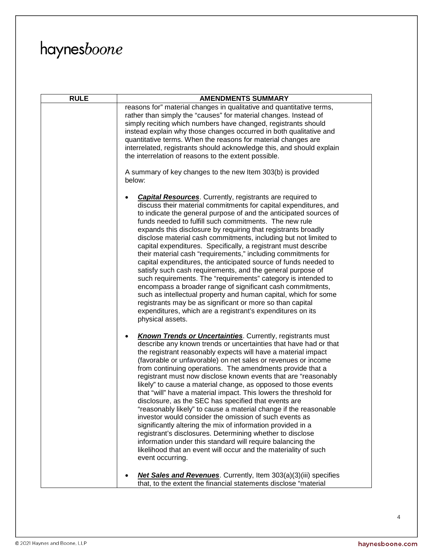| <b>RULE</b> | <b>AMENDMENTS SUMMARY</b>                                                                                                                                                                                                                                                                                                                                                                                                                                                                                                                                                                                                                                                                                                                                                                                                                                                                                                                                                                                                          |
|-------------|------------------------------------------------------------------------------------------------------------------------------------------------------------------------------------------------------------------------------------------------------------------------------------------------------------------------------------------------------------------------------------------------------------------------------------------------------------------------------------------------------------------------------------------------------------------------------------------------------------------------------------------------------------------------------------------------------------------------------------------------------------------------------------------------------------------------------------------------------------------------------------------------------------------------------------------------------------------------------------------------------------------------------------|
|             | reasons for" material changes in qualitative and quantitative terms,                                                                                                                                                                                                                                                                                                                                                                                                                                                                                                                                                                                                                                                                                                                                                                                                                                                                                                                                                               |
|             | rather than simply the "causes" for material changes. Instead of                                                                                                                                                                                                                                                                                                                                                                                                                                                                                                                                                                                                                                                                                                                                                                                                                                                                                                                                                                   |
|             | simply reciting which numbers have changed, registrants should                                                                                                                                                                                                                                                                                                                                                                                                                                                                                                                                                                                                                                                                                                                                                                                                                                                                                                                                                                     |
|             | instead explain why those changes occurred in both qualitative and                                                                                                                                                                                                                                                                                                                                                                                                                                                                                                                                                                                                                                                                                                                                                                                                                                                                                                                                                                 |
|             | quantitative terms. When the reasons for material changes are                                                                                                                                                                                                                                                                                                                                                                                                                                                                                                                                                                                                                                                                                                                                                                                                                                                                                                                                                                      |
|             | interrelated, registrants should acknowledge this, and should explain                                                                                                                                                                                                                                                                                                                                                                                                                                                                                                                                                                                                                                                                                                                                                                                                                                                                                                                                                              |
|             | the interrelation of reasons to the extent possible.                                                                                                                                                                                                                                                                                                                                                                                                                                                                                                                                                                                                                                                                                                                                                                                                                                                                                                                                                                               |
|             | A summary of key changes to the new Item 303(b) is provided<br>below:                                                                                                                                                                                                                                                                                                                                                                                                                                                                                                                                                                                                                                                                                                                                                                                                                                                                                                                                                              |
|             | <b>Capital Resources</b> . Currently, registrants are required to<br>discuss their material commitments for capital expenditures, and<br>to indicate the general purpose of and the anticipated sources of<br>funds needed to fulfill such commitments. The new rule<br>expands this disclosure by requiring that registrants broadly<br>disclose material cash commitments, including but not limited to<br>capital expenditures. Specifically, a registrant must describe<br>their material cash "requirements," including commitments for<br>capital expenditures, the anticipated source of funds needed to<br>satisfy such cash requirements, and the general purpose of<br>such requirements. The "requirements" category is intended to<br>encompass a broader range of significant cash commitments,<br>such as intellectual property and human capital, which for some<br>registrants may be as significant or more so than capital<br>expenditures, which are a registrant's expenditures on its<br>physical assets.     |
|             | <b>Known Trends or Uncertainties</b> . Currently, registrants must<br>$\bullet$<br>describe any known trends or uncertainties that have had or that<br>the registrant reasonably expects will have a material impact<br>(favorable or unfavorable) on net sales or revenues or income<br>from continuing operations. The amendments provide that a<br>registrant must now disclose known events that are "reasonably<br>likely" to cause a material change, as opposed to those events<br>that "will" have a material impact. This lowers the threshold for<br>disclosure, as the SEC has specified that events are<br>"reasonably likely" to cause a material change if the reasonable<br>investor would consider the omission of such events as<br>significantly altering the mix of information provided in a<br>registrant's disclosures. Determining whether to disclose<br>information under this standard will require balancing the<br>likelihood that an event will occur and the materiality of such<br>event occurring. |
|             | <b>Net Sales and Revenues</b> . Currently, Item 303(a)(3)(iii) specifies<br>that, to the extent the financial statements disclose "material                                                                                                                                                                                                                                                                                                                                                                                                                                                                                                                                                                                                                                                                                                                                                                                                                                                                                        |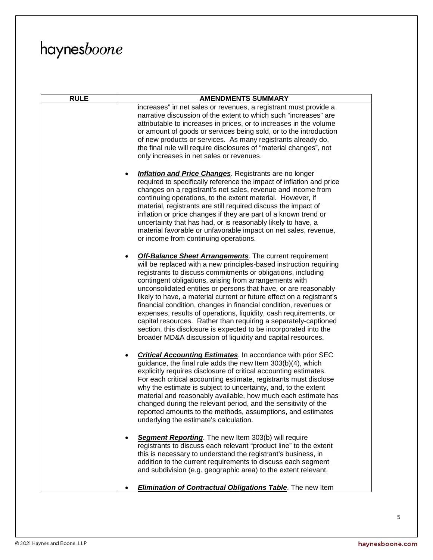| <b>RULE</b> | <b>AMENDMENTS SUMMARY</b>                                                                                                                                                                                                                                                                                                                                                                                                                                                                                                                                                                                                                                                                                                                                  |
|-------------|------------------------------------------------------------------------------------------------------------------------------------------------------------------------------------------------------------------------------------------------------------------------------------------------------------------------------------------------------------------------------------------------------------------------------------------------------------------------------------------------------------------------------------------------------------------------------------------------------------------------------------------------------------------------------------------------------------------------------------------------------------|
|             | increases" in net sales or revenues, a registrant must provide a<br>narrative discussion of the extent to which such "increases" are<br>attributable to increases in prices, or to increases in the volume<br>or amount of goods or services being sold, or to the introduction<br>of new products or services. As many registrants already do,<br>the final rule will require disclosures of "material changes", not<br>only increases in net sales or revenues.                                                                                                                                                                                                                                                                                          |
|             | <b>Inflation and Price Changes</b> . Registrants are no longer<br>required to specifically reference the impact of inflation and price<br>changes on a registrant's net sales, revenue and income from<br>continuing operations, to the extent material. However, if<br>material, registrants are still required discuss the impact of<br>inflation or price changes if they are part of a known trend or<br>uncertainty that has had, or is reasonably likely to have, a<br>material favorable or unfavorable impact on net sales, revenue,<br>or income from continuing operations.                                                                                                                                                                      |
|             | <b>Off-Balance Sheet Arrangements</b> . The current requirement<br>will be replaced with a new principles-based instruction requiring<br>registrants to discuss commitments or obligations, including<br>contingent obligations, arising from arrangements with<br>unconsolidated entities or persons that have, or are reasonably<br>likely to have, a material current or future effect on a registrant's<br>financial condition, changes in financial condition, revenues or<br>expenses, results of operations, liquidity, cash requirements, or<br>capital resources. Rather than requiring a separately-captioned<br>section, this disclosure is expected to be incorporated into the<br>broader MD&A discussion of liquidity and capital resources. |
|             | <b>Critical Accounting Estimates</b> . In accordance with prior SEC<br>guidance, the final rule adds the new Item 303(b)(4), which<br>explicitly requires disclosure of critical accounting estimates.<br>For each critical accounting estimate, registrants must disclose<br>why the estimate is subject to uncertainty, and, to the extent<br>material and reasonably available, how much each estimate has<br>changed during the relevant period, and the sensitivity of the<br>reported amounts to the methods, assumptions, and estimates<br>underlying the estimate's calculation.                                                                                                                                                                   |
|             | Segment Reporting. The new Item 303(b) will require<br>registrants to discuss each relevant "product line" to the extent<br>this is necessary to understand the registrant's business, in<br>addition to the current requirements to discuss each segment<br>and subdivision (e.g. geographic area) to the extent relevant.                                                                                                                                                                                                                                                                                                                                                                                                                                |
|             | <b>Elimination of Contractual Obligations Table</b> . The new Item                                                                                                                                                                                                                                                                                                                                                                                                                                                                                                                                                                                                                                                                                         |

 $\sqrt{5}$